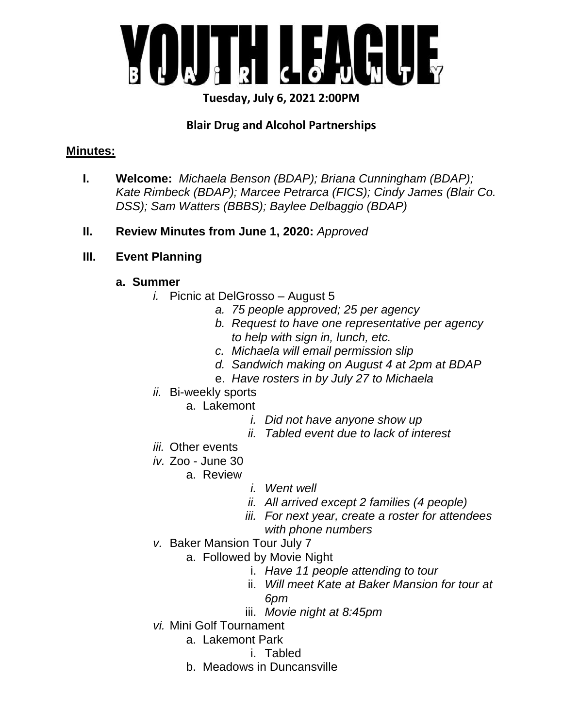

# **Tuesday, July 6, 2021 2:00PM**

# **Blair Drug and Alcohol Partnerships**

#### **Minutes:**

- **I. Welcome:** *Michaela Benson (BDAP); Briana Cunningham (BDAP); Kate Rimbeck (BDAP); Marcee Petrarca (FICS); Cindy James (Blair Co. DSS); Sam Watters (BBBS); Baylee Delbaggio (BDAP)*
- **II. Review Minutes from June 1, 2020:** *Approved*
- **III. Event Planning**

#### **a. Summer**

- *i.* Picnic at DelGrosso August 5
	- *a. 75 people approved; 25 per agency*
	- *b. Request to have one representative per agency to help with sign in, lunch, etc.*
	- *c. Michaela will email permission slip*
	- *d. Sandwich making on August 4 at 2pm at BDAP*
	- e. *Have rosters in by July 27 to Michaela*
- *ii.* Bi-weekly sports
	- a. Lakemont
		- *i. Did not have anyone show up*
		- *ii. Tabled event due to lack of interest*
- *iii.* Other events
- *iv.* Zoo June 30
	- a. Review
- *i. Went well*
- *ii. All arrived except 2 families (4 people)*
- *iii. For next year, create a roster for attendees with phone numbers*
- *v.* Baker Mansion Tour July 7
	- a. Followed by Movie Night
		- i. *Have 11 people attending to tour*
		- ii. *Will meet Kate at Baker Mansion for tour at 6pm*
		- iii. *Movie night at 8:45pm*
- *vi.* Mini Golf Tournament
	- a. Lakemont Park
		- i. Tabled
	- b. Meadows in Duncansville